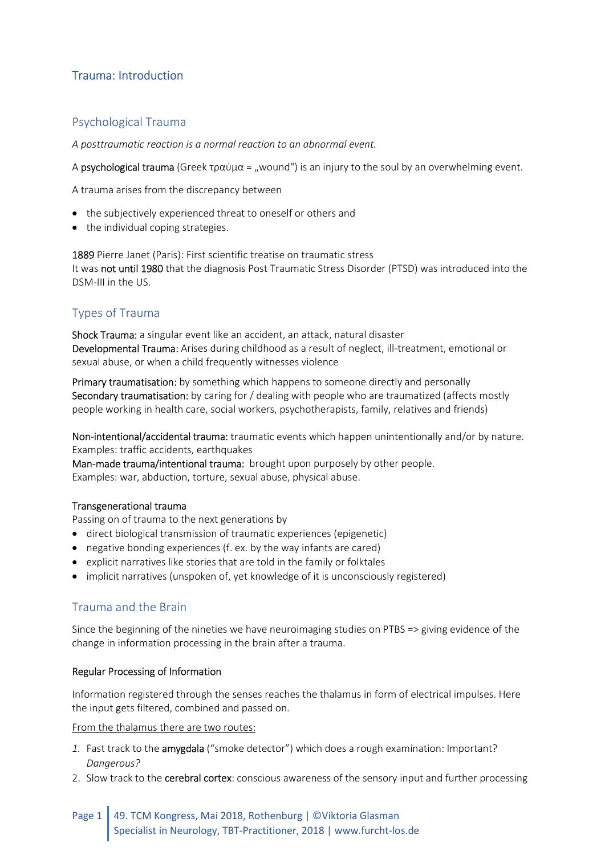# Trauma: Introduction

## Psychological Trauma

A posttraumatic reaction is a normal reaction to an abnormal event.

A psychological trauma (Greek τραύμα = "wound") is an injury to the soul by an overwhelming event.

A trauma arises from the discrepancy between

- the subjectively experienced threat to oneself or others and
- the individual coping strategies.

1889 Pierre Janet (Paris): First scientific treatise on traumatic stress It was not until 1980 that the diagnosis Post Traumatic Stress Disorder (PTSD) was introduced into the DSM-III in the US.

## Types of Trauma

Shock Trauma: a singular event like an accident, an attack, natural disaster Developmental Trauma: Arises during childhood as a result of neglect, ill-treatment, emotional or sexual abuse, or when a child frequently witnesses violence

Primary traumatisation: by something which happens to someone directly and personally Secondary traumatisation: by caring for / dealing with people who are traumatized (affects mostly people working in health care, social workers, psychotherapists, family, relatives and friends)

Non-intentional/accidental trauma: traumatic events which happen unintentionally and/or by nature. Examples: traffic accidents, earthquakes

Man-made trauma/intentional trauma: brought upon purposely by other people. Examples: war, abduction, torture, sexual abuse, physical abuse.

## Transgenerational trauma

Passing on of trauma to the next generations by

- direct biological transmission of traumatic experiences (epigenetic)
- negative bonding experiences (f. ex. by the way infants are cared)
- explicit narratives like stories that are told in the family or folktales
- implicit narratives (unspoken of, yet knowledge of it is unconsciously registered)

## Trauma and the Brain

Since the beginning of the nineties we have neuroimaging studies on PTBS => giving evidence of the change in information processing in the brain after a trauma.

## Regular Processing of Information

Information registered through the senses reaches the thalamus in form of electrical impulses. Here the input gets filtered, combined and passed on.

From the thalamus there are two routes:

- 1. Fast track to the **amygdala** ("smoke detector") which does a rough examination: Important? Dangerous?
- 2. Slow track to the **cerebral cortex**: conscious awareness of the sensory input and further processing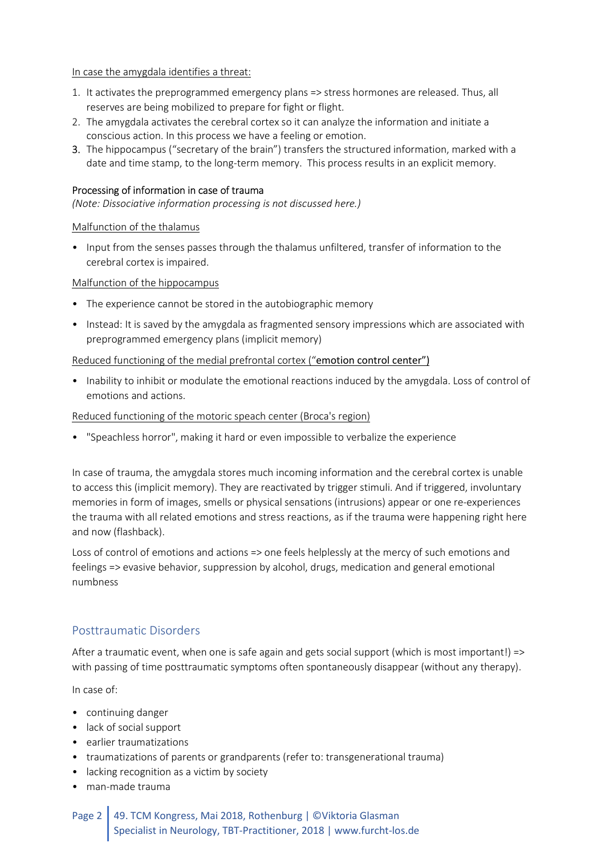#### In case the amygdala identifies a threat:

- 1. It activates the preprogrammed emergency plans => stress hormones are released. Thus, all reserves are being mobilized to prepare for fight or flight.
- 2. The amygdala activates the cerebral cortex so it can analyze the information and initiate a conscious action. In this process we have a feeling or emotion.
- 3. The hippocampus ("secretary of the brain") transfers the structured information, marked with a date and time stamp, to the long-term memory. This process results in an explicit memory.

#### Processing of information in case of trauma

(Note: Dissociative information processing is not discussed here.)

#### Malfunction of the thalamus

• Input from the senses passes through the thalamus unfiltered, transfer of information to the cerebral cortex is impaired.

#### Malfunction of the hippocampus

- The experience cannot be stored in the autobiographic memory
- Instead: It is saved by the amygdala as fragmented sensory impressions which are associated with preprogrammed emergency plans (implicit memory)

#### Reduced functioning of the medial prefrontal cortex ("emotion control center")

• Inability to inhibit or modulate the emotional reactions induced by the amygdala. Loss of control of emotions and actions.

#### Reduced functioning of the motoric speach center (Broca's region)

• "Speachless horror", making it hard or even impossible to verbalize the experience

In case of trauma, the amygdala stores much incoming information and the cerebral cortex is unable to access this (implicit memory). They are reactivated by trigger stimuli. And if triggered, involuntary memories in form of images, smells or physical sensations (intrusions) appear or one re-experiences the trauma with all related emotions and stress reactions, as if the trauma were happening right here and now (flashback).

Loss of control of emotions and actions => one feels helplessly at the mercy of such emotions and feelings => evasive behavior, suppression by alcohol, drugs, medication and general emotional numbness

## Posttraumatic Disorders

After a traumatic event, when one is safe again and gets social support (which is most important!) => with passing of time posttraumatic symptoms often spontaneously disappear (without any therapy).

In case of:

- continuing danger
- lack of social support
- earlier traumatizations
- traumatizations of parents or grandparents (refer to: transgenerational trauma)
- lacking recognition as a victim by society
- man-made trauma

## Page 2 49. TCM Kongress, Mai 2018, Rothenburg | ©Viktoria Glasman Specialist in Neurology, TBT-Practitioner, 2018 | www.furcht-los.de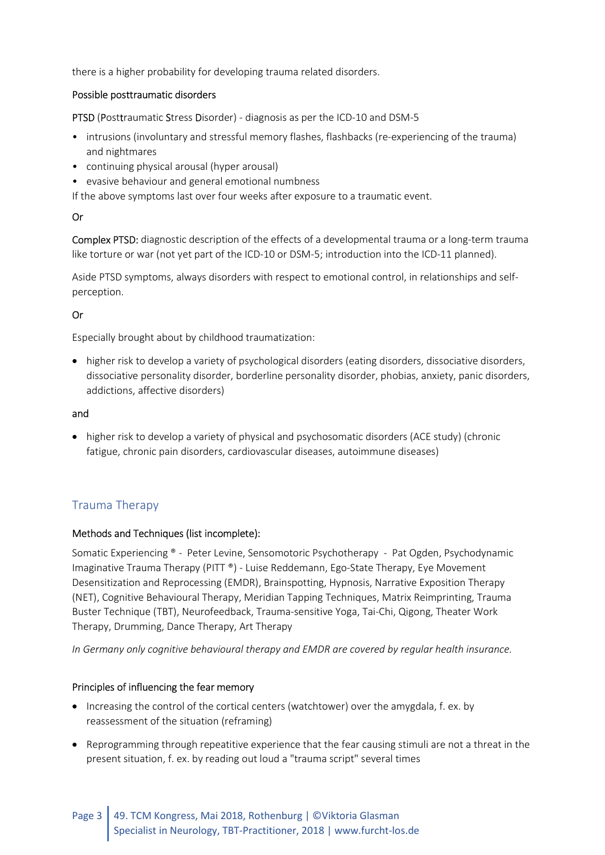there is a higher probability for developing trauma related disorders.

## Possible posttraumatic disorders

PTSD (Posttraumatic Stress Disorder) - diagnosis as per the ICD-10 and DSM-5

- intrusions (involuntary and stressful memory flashes, flashbacks (re-experiencing of the trauma) and nightmares
- continuing physical arousal (hyper arousal)
- evasive behaviour and general emotional numbness

If the above symptoms last over four weeks after exposure to a traumatic event.

### Or

Complex PTSD: diagnostic description of the effects of a developmental trauma or a long-term trauma like torture or war (not yet part of the ICD-10 or DSM-5; introduction into the ICD-11 planned).

Aside PTSD symptoms, always disorders with respect to emotional control, in relationships and selfperception.

## Or

Especially brought about by childhood traumatization:

• higher risk to develop a variety of psychological disorders (eating disorders, dissociative disorders, dissociative personality disorder, borderline personality disorder, phobias, anxiety, panic disorders, addictions, affective disorders)

### and

• higher risk to develop a variety of physical and psychosomatic disorders (ACE study) (chronic fatigue, chronic pain disorders, cardiovascular diseases, autoimmune diseases)

## Trauma Therapy

#### Methods and Techniques (list incomplete):

Somatic Experiencing ® - Peter Levine, Sensomotoric Psychotherapy - Pat Ogden, Psychodynamic Imaginative Trauma Therapy (PITT ®) - Luise Reddemann, Ego-State Therapy, Eye Movement Desensitization and Reprocessing (EMDR), Brainspotting, Hypnosis, Narrative Exposition Therapy (NET), Cognitive Behavioural Therapy, Meridian Tapping Techniques, Matrix Reimprinting, Trauma Buster Technique (TBT), Neurofeedback, Trauma-sensitive Yoga, Tai-Chi, Qigong, Theater Work Therapy, Drumming, Dance Therapy, Art Therapy

In Germany only cognitive behavioural therapy and EMDR are covered by regular health insurance.

#### Principles of influencing the fear memory

- Increasing the control of the cortical centers (watchtower) over the amygdala, f. ex. by reassessment of the situation (reframing)
- Reprogramming through repeatitive experience that the fear causing stimuli are not a threat in the present situation, f. ex. by reading out loud a "trauma script" several times